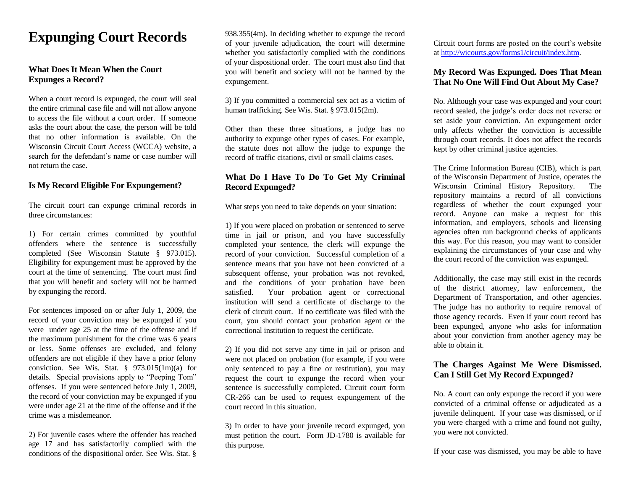### **Expunging Court Records**

#### **What Does It Mean When the Court Expunges a Record?**

When a court record is expunged, the court will seal the entire criminal case file and will not allow anyone to access the file without a court order. If someone asks the court about the case, the person will be told that no other information is available. On the Wisconsin Circuit Court Access (WCCA) website, a search for the defendant's name or case number will not return the case.

#### **Is My Record Eligible For Expungement?**

The circuit court can expunge criminal records in three circumstances:

1) For certain crimes committed by youthful offenders where the sentence is successfully completed (See Wisconsin Statute § 973.015). Eligibility for expungement must be approved by the court at the time of sentencing. The court must find that you will benefit and society will not be harmed by expunging the record.

For sentences imposed on or after July 1, 2009, the record of your conviction may be expunged if you were under age 25 at the time of the offense and if the maximum punishment for the crime was 6 years or less. Some offenses are excluded, and felony offenders are not eligible if they have a prior felony conviction. See Wis. Stat. § 973.015(1m)(a) for details. Special provisions apply to "Peeping Tom" offenses. If you were sentenced before July 1, 2009, the record of your conviction may be expunged if you were under age 21 at the time of the offense and if the crime was a misdemeanor.

2) For juvenile cases where the offender has reached age 17 and has satisfactorily complied with the conditions of the dispositional order. See Wis. Stat. §

938.355(4m). In deciding whether to expunge the record of your juvenile adjudication, the court will determine whether you satisfactorily complied with the conditions of your dispositional order. The court must also find that you will benefit and society will not be harmed by the expungement.

3) If you committed a commercial sex act as a victim of human trafficking. See Wis. Stat. § 973.015(2m).

Other than these three situations, a judge has no authority to expunge other types of cases. For example, the statute does not allow the judge to expunge the record of traffic citations, civil or small claims cases.

#### **What Do I Have To Do To Get My Criminal Record Expunged?**

What steps you need to take depends on your situation:

1) If you were placed on probation or sentenced to serve time in jail or prison, and you have successfully completed your sentence, the clerk will expunge the record of your conviction. Successful completion of a sentence means that you have not been convicted of a subsequent offense, your probation was not revoked, and the conditions of your probation have been satisfied. Your probation agent or correctional institution will send a certificate of discharge to the clerk of circuit court. If no certificate was filed with the court, you should contact your probation agent or the correctional institution to request the certificate.

2) If you did not serve any time in jail or prison and were not placed on probation (for example, if you were only sentenced to pay a fine or restitution), you may request the court to expunge the record when your sentence is successfully completed. Circuit court form CR-266 can be used to request expungement of the court record in this situation.

3) In order to have your juvenile record expunged, you must petition the court. Form JD-1780 is available for this purpose.

Circuit court forms are posted on the court's website a[t http://wicourts.gov/forms1/circuit/index.htm.](http://wicourts.gov/forms1/circuit/index.htm) 

#### **My Record Was Expunged. Does That Mean That No One Will Find Out About My Case?**

No. Although your case was expunged and your court record sealed, the judge's order does not reverse or set aside your conviction. An expungement order only affects whether the conviction is accessible through court records. It does not affect the records kept by other criminal justice agencies.

The Crime Information Bureau (CIB), which is part of the Wisconsin Department of Justice, operates the Wisconsin Criminal History Repository. The repository maintains a record of all convictions regardless of whether the court expunged your record. Anyone can make a request for this information, and employers, schools and licensing agencies often run background checks of applicants this way. For this reason, you may want to consider explaining the circumstances of your case and why the court record of the conviction was expunged.

Additionally, the case may still exist in the records of the district attorney, law enforcement, the Department of Transportation, and other agencies. The judge has no authority to require removal of those agency records. Even if your court record has been expunged, anyone who asks for information about your conviction from another agency may be able to obtain it.

### **The Charges Against Me Were Dismissed. Can I Still Get My Record Expunged?**

No. A court can only expunge the record if you were convicted of a criminal offense or adjudicated as a juvenile delinquent. If your case was dismissed, or if you were charged with a crime and found not guilty, you were not convicted.

If your case was dismissed, you may be able to have